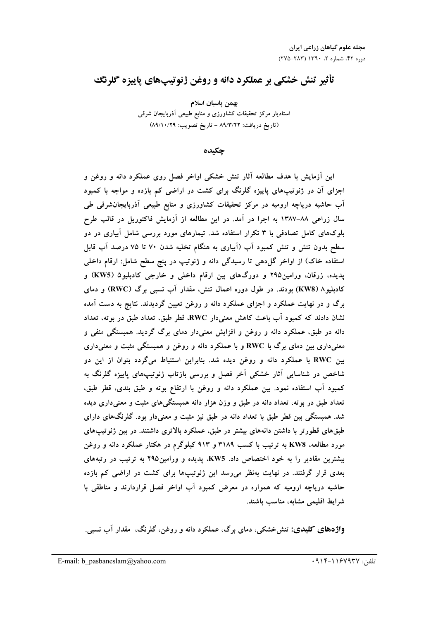# تأثير تنش خشكي بر عملكرد دانه و روغن ژنوتيپهاي پاييزه گلرنگ

بهمن ياسبان اسلام استادیار مرکز تحقیقات کشاورزی و منابع طبیعی آذربایجان شرقی (تاريخ دريافت: ٨٩/٣/٢٢ - تاريخ تصويب: ٨٩/١٠/٢٩)

حكىدە

این آزمایش با هدف مطالعه آثار تنش خشکی اواخر فصل روی عملکرد دانه و روغن و اجزای آن در ژنوتیپهای پاییزه گلرنگ برای کشت در اراضی کم بازده و مواجه با کمبود آب حاشیه دریاچه ارومیه در مرکز تحقیقات کشاورزی و منابع طبیعی آذربایجانشرقی طی سال زراعی ۸۸–۱۳۸۷ به اجرا در آمد. در این مطالعه از آزمایش فاکتوریل در قالب طرح بلوکهای کامل تصادفی با ۳ تکرار استفاده شد. تیمارهای مورد بررسی شامل آبیاری در دو سطح بدون تنش و تنش کمبود آب (آبیاری به هنگام تخلیه شدن ۷۰ تا ۷۵ درصد آب قابل استفاده خاک) از اواخر گل(هی تا رسیدگی دانه و ژنوتیپ در پنج سطح شامل: ارقام داخلی پدیده، زرقان، ورامین۲۹۵ و دورگهای بین ارقام داخلی و خارجی کادبلیو۵ (KW5) و کادبلیو۸ (KW8) بودند. در طول دوره اعمال تنش، مقدار آب نسبی برگ (RWC) و دمای برگ و در نهایت عملکرد و اجزای عملکرد دانه و روغن تعیین گردیدند. نتایج به دست آمده نشان دادند که کمبود آب باعث کاهش معنیدار RWC، قطر طبق، تعداد طبق در بوته، تعداد دانه در طبق، عملکرد دانه و روغن و افزایش معنیدار دمای برگ گردید. همبستگی منفی و معنیداری بین دمای برگ با RWC و با عملکرد دانه و روغن و همبستگی مثبت و معنیداری بین RWC با عملکرد دانه و روغن دیده شد. بنابراین استنباط میگردد بتوان از این دو شاخص در شناسایی آثار خشکی آخر فصل و بررسی بازتاب ژنوتیپهای پاییزه گلرنگ به کمبود آب استفاده نمود. بین عملکرد دانه و روغن با ارتفاع بوته و طبق بندی، قطر طبق، تعداد طبق در بوته، تعداد دانه در طبق و وزن هزار دانه همبستگی های مثبت و معنی داری دیده شد. همبستگی بین قطر طبق با تعداد دانه در طبق نیز مثبت و معنیدار بود. گلرنگهای دارای طبقهای قطورتر با داشتن دانههای بیشتر در طبق، عملکرد بالاتری داشتند. در بین ژنوتیپهای مورد مطالعه، KW8 به ترتیب با کسب ۳۱۸۹ و ۹۱۳ کیلوگرم در هکتار عملکرد دانه و روغن بیشترین مقادیر را به خود اختصاص داد. KW5، پدیده و ورامین۲۹۵ به ترتیب در رتبههای بعدی قرار گرفتند. در نهایت بهنظر می رسد این ژنوتیپها برای کشت در اراضی کم بازده حاشیه دریاچه ارومیه که همواره در معرض کمبود آب اواخر فصل قراردارند و مناطقی با شرايط اقليمي مشابه، مناسب باشند.

**واژههای کلیدی:** تنشخشکی، دمای برگ، عملکرد دانه و روغن، گلرنگ، مقدار آب نسبی.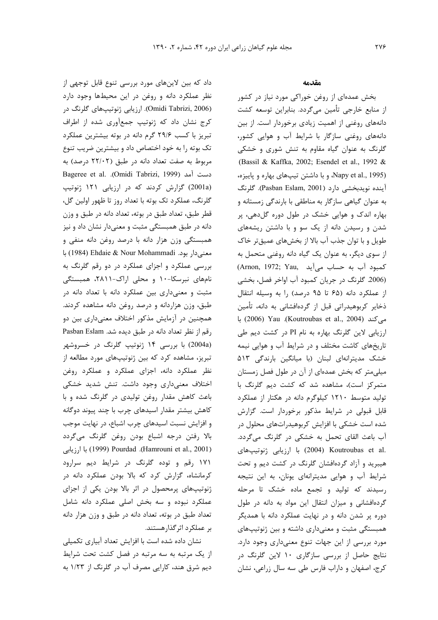داد که بین لاینهای مورد بررسی تنوع قابل توجهی از نظر عملکرد دانه و روغن در این محیطها وجود دارد (Omidi Tabrizi, 2006). ارزيابي ژنوتيپهاي گلرنگ در کرج نشان داد که ژنوتیپ جمعآوری شده از اطراف تبریز با کسب ۲۹/۶ گرم دانه در بوته بیشترین عملکرد تک بوته را به خود اختصاص داد و بیشترین ضریب تنوع مربوط به صفت تعداد دانه در طبق (۲۲/۰۲ درصد) به Bageree et al. .(Omidi Tabrizi, 1999) دست آمد (2001a) گزارش کردند که در ارزیابی ۱۲۱ ژنوتیپ گلرنگ، عملکرد تک بوته با تعداد روز تا ظهور اولین گل، قطر طبق، تعداد طبق در بوته، تعداد دانه در طبق و وزن دانه در طبق همبستگی مثبت و معنیدار نشان داد و نیز همبستگی وزن هزار دانه با درصد روغن دانه منفی و با (1984) Ehdaie & Nour Mohammadi با بررسی عملکرد و اجزای عملکرد در دو رقم گلرنگ به نامهای نبرسکا-۱۰ و محلی اراک-۲۸۱۱، همبستگی مثبت و معنیداری بین عملکرد دانه با تعداد دانه در طبق، وزن هزاردانه و درصد روغن دانه مشاهده کردند. همچنین در آزمایش مذکور اختلاف معنیداری بین دو رقم از نظر تعداد دانه در طبق دیده شد. Pasban Eslam (2004a) با بررسی ۱۴ ژنوتیپ گلرنگ در خسروشهر تبریز، مشاهده کرد که بین ژنوتیپهای مورد مطالعه از نظر عملکرد دانه، اجزای عملکرد و عملکرد روغن اختلاف معنی داری وجود داشت. تنش شدید خشکی باعث کاهش مقدار روغن تولیدی در گلرنگ شده و با کاهش بیشتر مقدار اسیدهای چرب با چند پیوند دوگانه و افزایش نسبت اسیدهای چرب اشباع، در نهایت موجب بالا رفتن درجه اشباع بودن روغن گلرنگ میگردد (Hamrouni et al., 2001). Pourdad (1999) با ارزيابى ۱۷۱ رقم و توده گلرنگ در شرایط دیم سرارود کرمانشاه، گزارش کرد که بالا بودن عملکرد دانه در ژنوتیپهای پرمحصول در اثر بالا بودن یکی از اجزای عملکرد نبوده و سه بخش اصلی عملکرد دانه شامل تعداد طبق در بوته، تعداد دانه در طبق و وزن هزار دانه بر عملکرد اثر گذارهستند.

نشان داده شده است با افزایش تعداد آبیاری تکمیلی از یک مرتبه به سه مرتبه در فصل کشت تحت شرایط دیم شرق هند، کارایی مصرف آب در گلرنگ از ۱/۲۳ به

#### مقدمه

بخش عمدهای از روغن خوراکی مورد نیاز در کشور از منابع خارجي تأمين ميگردد. بنابراين توسعه كشت دانههای روغنی از اهمیت زیادی برخوردار است. از بین دانههای روغنی سازگار با شرایط آب و هوایی کشور، گلرنگ به عنوان گیاه مقاوم به تنش شوری و خشکی (Bassil & Kaffka, 2002; Esendel et al., 1992 & (Napy et al., 1995، وبا داشتن تیپهای بهاره و پاییزه، آينده نويدبخشي دارد (Pasban Eslam, 2001). گلرنگ به عنوان گیاهی سازگار به مناطقی با بارندگی زمستانه و بهاره اندک و هوایی خشک در طول دوره گلدهی، پر شدن و رسیدن دانه از یک سو و با داشتن ریشههای طویل و با توان جذب آب بالا از بخشهای عمیقتر خاک از سوی دیگر، به عنوان یک گیاه دانه روغنی متحمل به (Arnon, 1972; Yau, حساب می آید) (2006. گلرنگ در جریان کمبود آب اواخر فصل، بخشی از عملكرد دانه (۶۵ تا ۹۵ درصد) را به وسيله انتقال ذخایر کربوهیدراتی قبل از گردهافشانی به دانه، تأمین می کند (2004). Koutroubas et al., 2004). If (2006) ارزیابی لاین گلرنگ بهاره به نام PI در کشت دیم طی تاریخهای کاشت مختلف و در شرایط آب و هوایی نیمه خشک مدیترانهای لبنان (با میانگین بارندگی ۵۱۳ میلی متر که بخش عمدهای از آن در طول فصل زمستان متمرکز است)، مشاهده شد که کشت دیم گلرنگ با تولید متوسط ١٢١٠ کیلوگرم دانه در هکتار از عملکرد قابل قبولی در شرایط مذکور برخوردار است. گزارش شده است خشکی با افزایش کربوهیدراتهای محلول در آب باعث القای تحمل به خشکی در گلرنگ میگردد. .(2004) Koutroubas et al (2004) با ارزيابي ژنوتيپهای هیبرید و آزاد گردهافشان گلرنگ در کشت دیم و تحت شرایط آب و هوایی مدیترانهای یونان، به این نتیجه رسیدند که تولید و تجمع ماده خشک تا مرحله گردهافشانی و میزان انتقال این مواد به دانه در طول دوره پر شدن دانه و در نهایت عملکرد دانه با همدیگر همبستگی مثبت و معنیداری داشته و بین ژنوتیپهای مورد بررسی از این جهات تنوع معنیداری وجود دارد. نتایج حاصل از بررسی سازگاری ۱۰ لاین گلرنگ در كرج، اصفهان و داراب فارس طى سه سال زراعى، نشان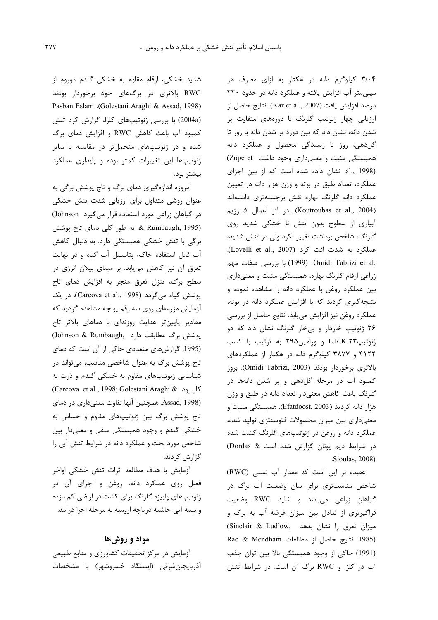۳/۰۴ کیلوگرم دانه در هکتار به ازای مصرف هر میلی متر آب افزایش یافته و عملکرد دانه در حدود ۲۲۰ درصد افزايش يافت (Kar et al., 2007). نتايج حاصل از ارزیابی چهار ژنوتیپ گلرنگ با دورههای متفاوت پر شدن دانه، نشان داد که بین دوره پر شدن دانه با روز تا گل دهی، روز تا رسیدگی محصول و عملکرد دانه همبستگی مثبت و معنیداری وجود داشت Zope et) al., 1998). نشان داده شده است که از بین اجزای عملکرد، تعداد طبق در بوته و وزن هزار دانه در تعیین عملکرد دانه گلرنگ بهاره نقش برجستهتری داشتهاند (Koutroubas et al., 2004). در اثر اعمال ۵ رژیم آبیاری از سطوح بدون تنش تا خشکی شدید روی گلرنگ، شاخص برداشت تغییر نکرد ولی در تنش شدید، عملكرد به شدت افت كرد (Lovelli et al., 2007). .Omidi Tabrizi et al (1999) با بررسی صفات مهم زراعی ارقام گلرنگ بهاره، همبستگی مثبت و معنیداری بین عملکرد روغن با عملکرد دانه را مشاهده نموده و نتیجهگیری کردند که با افزایش عملکرد دانه در بوته، عملكرد روغن نيز افزايش مي يابد. نتايج حاصل از بررسي ۲۶ ژنوتیپ خاردار و بی خار گلرنگ نشان داد که دو ژنوتیپL.R.K.۲۳ و ورامین۲۹۵ به ترتیب با کسب ۴۱۲۲ و ۳۸۷۷ کیلوگرم دانه در هکتار از عملکردهای بالاترى برخوردار بودند (Omidi Tabrizi, 2003). بروز کمبود آب در مرحله گلدهی و پر شدن دانهها در گلرنگ باعث كاهش معنىدار تعداد دانه در طبق و وزن هزار دانه گردید (Efatdoost, 2003). همبستگی مثبت و معنیداری بین میزان محصولات فتوسنتزی تولید شده، عملکرد دانه و روغن در ژنوتیپهای گلرنگ کشت شده در شرایط دیم یونان گزارش شده است & Dordas)

> عقیده بر این است که مقدار آب نسبی (RWC) شاخص مناسبتری برای بیان وضعیت أب برگ در گیاهان زراعی میباشد و شاید RWC وضعیت فراگیرتری از تعادل بین میزان عرضه آب به برگ و (Sinclair & Ludlow, ميزان تعرق را نشان بدهد Rao & Mendham أز مطالعات Rao & Mendham (1991) حاکی از وجود همبستگی بالا بین توان جذب آب در کلزا و RWC برگ آن است. در شرایط تنش

Sioulas, 2008).

شدید خشکی، ارقام مقاوم به خشکی گندم دوروم از RWC بالاتری در برگهای خود برخوردار بودند Pasban Eslam .(Golestani Araghi & Assad, 1998) (2004a) با بررسی ژنوتیپهای کلزا، گزارش کرد تنش کمبود آب باعث کاهش RWC و افزایش دمای برگ شده و در ژنوتیپهای متحملتر در مقایسه با سایر ژنوتیپها این تغییرات کمتر بوده و پایداری عملکرد بيشتر بود.

امروزه اندازهگیری دمای برگ و تاج پوشش برگی به عنوان روشی متداول برای ارزیابی شدت تنش خشکی در گیاهان زراعی مورد استفاده قرار می گیرد Johnson) & Rumbaugh, 1995). به طور کلی دمای تاج پوشش برگی با تنش خشکی همبستگی دارد. به دنبال کاهش آب قابل استفاده خاک، پتانسیل آب گیاه و در نهایت تعرق آن نیز کاهش می یابد. بر مبنای بیلان انرژی در سطح برگ، تنزل تعرق منجر به افزایش دمای تاج یوشش گیاه می گردد (Carcova et al., 1998). در یک آزمایش مزرعهای روی سه رقم یونجه مشاهده گردید که مقادیر پایینتر هدایت روزنهای با دماهای بالاتر تاج یوشش برگ مطابقت دارد .(Johnson & Rumbaugh (1995. گزارشهای متعددی حاکی از آن است که دمای تاج پوشش برگ به عنوان شاخصی مناسب، می تواند در شناسایی ژنوتیپهای مقاوم به خشکی گندم و ذرت به Carcova et al., 1998; Golestani Araghi & كار رود Carcova et al., 1998; Golestani Araghi (Assad, 1998. همچنین آنها تفاوت معنیداری در دمای تاج پوشش برگ بین ژنوتیپهای مقاوم و حساس به خشکی گندم و وجود همبستگی منفی و معنیدار بین شاخص مورد بحث و عملکرد دانه در شرایط تنش آبی را گزارش کردند.

آزمایش با هدف مطالعه اثرات تنش خشکی اواخر فصل روی عملکرد دانه، روغن و اجزای آن در ژنوتیپهای پاییزه گلرنگ برای کشت در اراضی کم بازده و نیمه آبی حاشیه دریاچه ارومیه به مرحله اجرا درآمد.

# مواد و روشها

آزمایش در مرکز تحقیقات کشاورزی و منابع طبیعی آذربایجانشرقی (ایستگاه خسروشهر) با مشخصات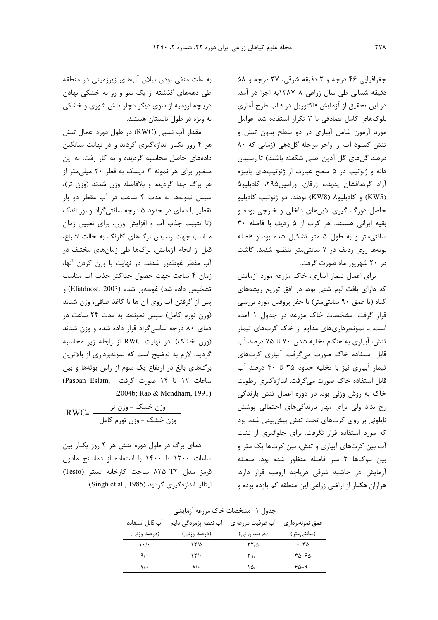جغرافیایی ۴۶ درجه و ۲ دقیقه شرقی، ۳۷ درجه و ۵۸ دقیقه شمالی طی سال زراعی ۸-۱۳۸۷به اجرا در آمد. در این تحقیق از آزمایش فاکتوریل در قالب طرح آماری بلوکهای کامل تصادفی با ۳ تکرار استفاده شد. عوامل مورد آزمون شامل آبیاری در دو سطح بدون تنش و تنش كمبود آب از اواخر مرحله گل دهی (زمانی كه ۸۰ درصد گلهای گل آذین اصلی شکفته باشند) تا رسیدن دانه و ژنوتیپ در ۵ سطح عبارت از ژنوتیپهای پاییزه آزاد گردهافشان پدیده، زرقان، ورامین۲۹۵، کادبلیو۵ (KW5) و كادبليو (KW8) (KW8) بودند. دو ژنوتيپ كادبليو حاصل دورگ گیری لاینهای داخلی و خارجی بوده و بقيه ايرانى هستند. هر كرت از ۵ رديف با فاصله ٣٠ سانتی متر و به طول ۵ متر تشکیل شده بود و فاصله بوتهها روی ردیف در ۷ سانتی متر تنظیم شدند. کاشت در ۲۰ شهریور ماه صورت گرفت.

برای اعمال تیمار أبیاری، خاک مزرعه مورد أزمایش که دارای بافت لوم شنی بود، در افق توزیع ریشههای گیاه (تا عمق ۹۰ سانتیمتر) با حفر پروفیل مورد بررسی قرار گرفت. مشخصات خاک مزرعه در جدول ۱ آمده است. با نمونهبرداریهای مداوم از خاک کرتهای تیمار تنش، آبیاری به هنگام تخلیه شدن ۷۰ تا ۷۵ درصد آب قابل استفاده خاک صورت میگرفت. آبیاری کرتهای تیمار آبیاری نیز با تخلیه حدود ۳۵ تا ۴۰ درصد آب قابل استفاده خاک صورت میگرفت. اندازهگیری رطوبت خاک به روش وزنی بود. در دوره اعمال تنش بارندگی رخ نداد ولی برای مهار بارندگیهای احتمالی پوشش نایلونی بر روی کرتهای تحت تنش پیش بینی شده بود که مورد استفاده قرار نگرفت. برای جلوگیری از نشت آب بین کرتهای آبیاری و تنش، بین کرتها یک متر و بین بلوکها ۲ متر فاصله منظور شده بود. منطقه آزمایش در حاشیه شرقی دریاچه ارومیه قرار دارد. هزاران هکتار از اراضی زراعی این منطقه کم بازده بوده و

به علت منفی بودن بیلان آبهای زیرزمینی در منطقه طی دهههای گذشته از یک سو و رو به خشکی نهادن دریاچه ارومیه از سوی دیگر دچار تنش شوری و خشکی به ویژه در طول تابستان هستند.

مقدار آب نسبی (RWC) در طول دوره اعمال تنش هر ۴ روز یکبار اندازهگیری گردید و در نهایت میانگین دادههای حاصل محاسبه گردیده و به کار رفت. به این منظور برای هر نمونه ۳ دیسک به قطر ۲۰ میلی متر از هر برگ جدا گردیده و بلافاصله وزن شدند (وزن تر)، سیس نمونهها به مدت ۴ ساعت در آب مقطر دو بار تقطیر با دمای در حدود ۵ درجه سانتی گراد و نور اندک (تا تثبيت جذب آب و افزايش وزن، براي تعيين زمان مناسب جهت رسیدن برگهای گلرنگ به حالت اشباع، قبل از انجام آزمایش، برگها طی زمانهای مختلف در آب مقطر غوطهور شدند. در نهایت با وزن کردن آنها، زمان ۴ ساعت جهت حصول حداكثر جذب آب مناسب تشخيص داده شد) غوطهور شده (Efatdoost, 2003) و يس از گرفتن آب روى آن ها با كاغذ صافى، وزن شدند (وزن تورم كامل) سپس نمونهها به مدت ٢۴ ساعت در دمای ۸۰ درجه سانتیگراد قرار داده شده و وزن شدند (وزن خشک). در نهایت RWC از رابطه زیر محاسبه گردید. لازم به توضیح است که نمونهبرداری از بالاترین برگهای بالغ در ارتفاع یک سوم از راس بوتهها و بین ساعات ١٢ تا ١۴ صورت گرفت .(Pasban Eslam) :2004b; Rao & Mendham, 1991)

$$
\text{RWC} = \frac{e^{i\omega} \cdot \text{cinc}}{e^{i\omega} \cdot \text{cinc}} = \text{RWC}
$$

دمای برگ در طول دوره تنش هر ۴ روز یکبار بین ساعات ۱۲۰۰ تا ۱۴۰۰ با استفاده از دماسنج مادون قرمز مدل T۲-۸۲۵ ساخت کارخانه تستو (Testo) ايتاليا اندازهگيري گرديد (Singh et al., 1985).

جدول ١- مشخصات خاک مزرعه آزمايشي

| آب قابل استفاده                 | آب نقطه پژمردگی دایم | آب ظرفيت مزرعهاى | عمق نمونهبرداري             |
|---------------------------------|----------------------|------------------|-----------------------------|
| (درصد وزنی)                     | (درصد وزنی)          | (درصد وزنی)      | (سانتىمتر)                  |
| $\mathcal{N} \cdot \mathcal{N}$ | ۱۲/۵                 | 7715             | $\cdot$ -۳۵                 |
| 9/                              | $\frac{1}{\sqrt{2}}$ | ۲۱/۰             | $r_{\Delta-\epsilon\Delta}$ |
| $V/\cdot$                       | $\lambda$ .          | 101              | $P_{\Delta-\vartheta}$ .    |
|                                 |                      |                  |                             |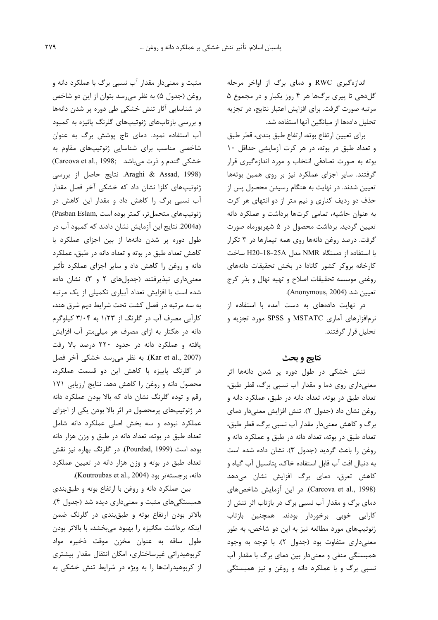اندازهگیری RWC و دمای برگ از اواخر مرحله گل دهی تا پیری برگ ها هر ۴ روز یکبار و در مجموع ۵ مرتبه صورت گرفت. برای افزایش اعتبار نتایج، در تجزیه تحليل دادهها از ميانگين آنها استفاده شد.

براي تعيين ارتفاع بوته، ارتفاع طبق بندي، قطر طبق و تعداد طبق در بوته، در هر کرت آزمایشی حداقل ١٠ بوته به صورت تصادفی انتخاب و مورد اندازهگیری قرار گرفتند. سایر اجزای عملکرد نیز بر روی همین بوتهها تعیین شدند. در نهایت به هنگام رسیدن محصول پس از حذف دو ردیف کناری و نیم متر از دو انتهای هر کرت به عنوان حاشیه، تمامی کرتها برداشت و عملکرد دانه تعیین گردید. برداشت محصول در ۵ شهریورماه صورت گرفت. درصد روغن دانهها روی همه تیمارها در ۳ تکرار با استفاده از دستگاه NMR مدل 25A-18-H20 ساخت کارخانه بروکر کشور کانادا در بخش تحقیقات دانههای روغنی موسسه تحقیقات اصلاح و تهیه نهال و بذر کرج تعيين شد (Anonymous, 2004).

در نهایت دادههای به دست آمده با استفاده از نرمافزارهای آماری MSTATC و SPSS مورد تجزیه و تحليل قرار گرفتند.

# نتايج و بحث

تنش خشکی در طول دوره پر شدن دانهها اثر معنیداری روی دما و مقدار آب نسبی برگ، قطر طبق، تعداد طبق در بوته، تعداد دانه در طبق، عملکرد دانه و روغن نشان داد (جدول ٢). تنش افزايش معنى دار دماي برگ و کاهش معنی دار مقدار آب نسبی برگ، قطر طبق، تعداد طبق در بوته، تعداد دانه در طبق و عملکرد دانه و روغن را باعث گردید (جدول ٣). نشان داده شده است به دنبال افت آب قابل استفاده خاک، پتانسیل آب گیاه و کاهش تعرق، دمای برگ افزایش نشان میدهد (Carcova et al., 1998). در این آزمایش شاخصهای دمای برگ و مقدار آب نسبی برگ در بازتاب اثر تنش از کارایی خوبی برخوردار بودند. همچنین بازتاب ژنوتیپهای مورد مطالعه نیز به این دو شاخص، به طور معنیداری متفاوت بود (جدول ۲). با توجه به وجود همبستگی منفی و معنیدار بین دمای برگ با مقدار آب نسبي برگ و با عملکرد دانه و روغن و نيز همبستگي

مثبت و معنیدار مقدار آب نسبی برگ با عملکرد دانه و روغن (جدول ۵) به نظر می رسد بتوان از این دو شاخص در شناسایی آثار تنش خشکی طی دوره پر شدن دانهها و بررسی بازتابهای ژنوتیپهای گلرنگ پائیزه به کمبود آب استفاده نمود. دمای تاج پوشش برگ به عنوان شاخصی مناسب برای شناسایی ژنوتیپهای مقاوم به (Carcova et al., 1998; خشکی گندم و ذرت میباشد) Araghi & Assad, 1998). نتايج حاصل از بررسي ژنوتیپهای کلزا نشان داد که خشکی آخر فصل مقدار آب نسبی برگ را کاهش داد و مقدار این کاهش در ژنوتیپهای متحمل تر، کمتر بوده است ,Pasban Eslam) (2004a. نتايج اين آزمايش نشان دادند كه كمبود آب در طول دوره پر شدن دانهها از بین اجزای عملکرد با كاهش تعداد طبق در بوته و تعداد دانه در طبق، عملكرد دانه و روغن را کاهش داد و سایر اجزای عملکرد تأثیر معنیداری نیذیرفتند (جدولهای ۲ و ۳). نشان داده شده است با افزایش تعداد آبیاری تکمیلی از یک مرتبه به سه مرتبه در فصل کشت تحت شرایط دیم شرق هند، کارآبی مصرف آب در گلرنگ از ۱/۲۳ به ۳/۰۴ کیلوگرم دانه در هکتار به ازای مصرف هر میلی متر آب افزایش یافته و عملکرد دانه در حدود ۲۲۰ درصد بالا رفت (Kar et al., 2007). به نظر می رسد خشکی آخر فصل در گلرنگ پاییزه با کاهش این دو قسمت عملکرد، محصول دانه و روغن را كاهش دهد. نتايج ارزيابي ١٧١ رقم و توده گلرنگ نشان داد که بالا بودن عملکرد دانه در ژنوتیپهای پرمحصول در اثر بالا بودن یکی از اجزای عملکرد نبوده و سه بخش اصلی عملکرد دانه شامل تعداد طبق در بوته، تعداد دانه در طبق و وزن هزار دانه بوده است (Pourdad, 1999). در گلرنگ بهاره نیز نقش تعداد طبق در بوته و وزن هزار دانه در تعیین عملکرد دانه، برجستهتر بود (Koutroubas et al., 2004).

بین عملکرد دانه و روغن با ارتفاع بوته و طبق بندی همبستگیهای مثبت و معنیداری دیده شد (جدول ۴). بالاتر بودن ارتفاع بوته و طبقبندی در گلرنگ ضمن اینکه برداشت مکانیزه را بهبود میبخشد، با بالاتر بودن طول ساقه به عنوان مخزن موقت ذخيره مواد کربوهیدراتی غیرساختاری، امکان انتقال مقدار بیشتری از کربوهیدراتها را به ویژه در شرایط تنش خشکی به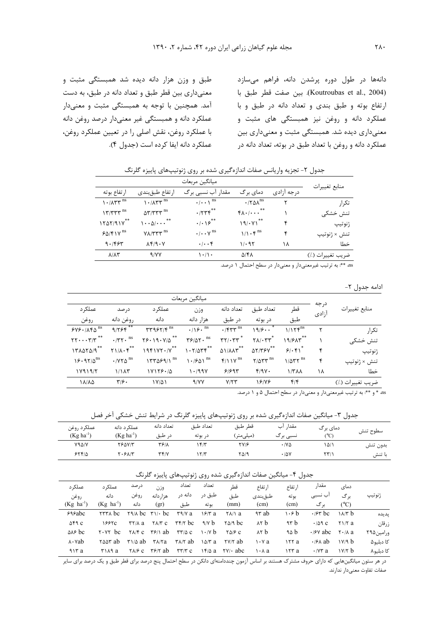دانهها در طول دوره پرشدن دانه، فراهم میسازد (Koutroubas et al., 2004). بين صفت قطر طبق با ارتفاع بوته وطبق بندى وتعداد دانه در طبق وبا عملکرد دانه و روغن نیز همبستگی های مثبت و معنیداری دیده شد. همبستگی مثبت و معنیداری بین عملکرد دانه و روغن با تعداد طبق در بوته، تعداد دانه در

طبق و وزن هزار دانه دیده شد همبستگی مثبت و معنیداری بین قطر طبق و تعداد دانه در طبق، به دست آمد. همچنین با توجه به همبستگی مثبت و معنیدار عملکرد دانه و همبستگی غیر معنیدار درصد روغن دانه با عملكرد روغن، نقش اصلي را در تعيين عملكرد روغن، عملكرد دانه ايفا كرده است (جدول ۴).

|                  |            |                                                   | ميانگين مربعات                            |                                                                |                                 |
|------------------|------------|---------------------------------------------------|-------------------------------------------|----------------------------------------------------------------|---------------------------------|
| منابع تغييرات    | درجه آزادی | دمای برگ                                          | مقدار آب نسبي برگ                         | ارتفاع طبقبندى                                                 | ارتفاع بوته                     |
| تک ا,            | ۲          | $\cdot$ / $\gamma$ $\Delta \lambda$ <sup>ns</sup> | $\cdot/\cdot\cdot\setminus$ <sup>ns</sup> | $\mathcal{N}$ / $\Lambda$ ۳۳ $\mathcal{N}$ <sup>ns</sup>       | $\mathcal{N} \cdot \mathcal{N}$ |
| تنش خشکی         |            | $f \wedge \cdot / \cdot \cdot$ **                 | $\cdot$ / $\tau \tau$ $*$                 | $\Delta \mathbf{Y}/\mathbf{Y} \mathbf{Y}^{\text{ns}}$          | $17/TT''$ <sup>ns</sup>         |
| ژنوتيپ           | ۴          | 19/1                                              | $\cdot$   $\cdot$   $\varphi^{**}$        | $\setminus \cdot \cdot \vartriangle / \cdot \cdot \cdot ^{**}$ | $1707/91V^{**}$                 |
| تنش × ژنوتيپ     | ۴          | $1/\sqrt{f}$ <sup>ns</sup>                        | $\cdot/\cdot\cdot\gamma$ <sup>ns</sup>    | $V\Lambda/\Upsilon\Upsilon\Upsilon$ <sup>ns</sup>              | $90/F1V$ <sup>ns</sup>          |
| خطا              | ۱۸         | 11.97                                             | $\cdot/\cdot\cdot$ ۴                      | $\lambda f$ /9. $V$                                            | 9.155                           |
| ضريب تغييرات (٪) |            | <b>A/۴۸</b>                                       | $\cdot/\cdot$                             | 9/YY                                                           | $\Lambda/\Lambda\Upsilon$       |
|                  |            |                                                   |                                           |                                                                |                                 |

جدول ۲- تجزیه واریانس صفات اندازهگیری شده بر روی ژنوتیپهای پاییزه گلرنگ

ns \*\*: به ترتیب غیرمعنیدار و معنیدار در سطح احتمال ۱ درصد.

### ادامه جدول ٢-

| عملکر د                              | د, صد                                       | عملکر د                                                                             | وزن                                                    | تعداد دانه                                    | تعداد طبق                              | قطر                                | درجه<br>آزادى | منابع تغييرات    |
|--------------------------------------|---------------------------------------------|-------------------------------------------------------------------------------------|--------------------------------------------------------|-----------------------------------------------|----------------------------------------|------------------------------------|---------------|------------------|
| روغن                                 | روغن دانه                                   | دانه                                                                                | هزار دانه                                              | در طبق                                        | در بوته                                | طبق                                |               |                  |
| 545.78                               | 9/755                                       | $\mathbf{r} \mathbf{r} \mathbf{q} \mathbf{r} \mathbf{r} / \mathbf{r}$ <sup>ns</sup> | $\cdot$ /19. $^{\text{ns}}$                            | $\cdot$ / $\gamma \gamma$ <sup>ns</sup>       | $19/9 \cdots$                          | 1/15                               | ۲             | تک ا,            |
| $\gamma\gamma\cdots\gamma/\gamma$ ** | $\cdot$ /٣٢ $\cdot$ <sup>ns</sup>           | $Y9.19.10^{**}$                                                                     | $\mathbf{Y}$ $\beta$ / $\Delta$ $\mathbf{Y}$ . $^{ns}$ | $\mathbf{r}\mathbf{r}/\mathbf{r}\mathbf{r}^*$ | $\mathsf{Y}\Lambda/\cdot\mathsf{YY}^*$ | $19/8\pi$                          |               | تنش خشکی         |
| 1710707                              | $\Gamma$ 1/ $\Lambda \cdot \gamma^{**}$     | 1951Y5.7"                                                                           | 1.7701                                                 | $\Delta 1/\Delta \Lambda T$ <sup>**</sup>     | $\Delta Y/Y$ ۶۷**                      | 5.5                                | ۴             | ژنوتيپ           |
| $18.97/0^{ns}$                       | $\cdot$ / $V \uparrow \Delta$ <sup>ns</sup> | $15529/1$ <sup>ns</sup>                                                             | $1.961$ <sup>ns</sup>                                  | $f/11Y^{ns}$                                  | $Y/\Delta YY$ <sup>ns</sup>            | $1/\Delta \tau \tau$ <sup>ns</sup> | ۴             | تنش × ژنوتيپ     |
| $11919/5$                            | 1/1 <sup>K</sup>                            | 1Y159.70                                                                            | 1.199V                                                 | 91998                                         | f/9V                                   | <b><i>ITAA</i></b>                 | ۱۸            | خطا              |
| 18/10                                | $\mathbf{y}_{\mathcal{F}}$ .                | ۱۷۵۱                                                                                | 9/YY                                                   | V/Y                                           | 18178                                  | $f/\mathfrak{f}$                   |               | ضريب تغييرات (٪) |

 $\overline{\bullet}$ 

ns، \* و \*\*: به ترتیب غیرمعنیدار و معنیدار در سطح احتمال ۵ و ۱ درصد.

جدول ۳- میانگین صفات اندازهگیری شده بر روی ژنوتیپهای پاییزه گلرنگ در شرایط تنش خشکی آخر فصل

| عملكرد روغن<br>$(Kg ha^{-1})$ | عملکړ د دانه<br>$(Kg ha^{-1})$ | تعداد دانه<br>در طبق | تعداد طبق<br>در بوته | قطر<br>طبق<br>(میلی متر) | مقدار<br>ا ب<br>نسبی برگ | دمای برگ<br>$C$ <sup>o</sup> C) | سطوح تنش |
|-------------------------------|--------------------------------|----------------------|----------------------|--------------------------|--------------------------|---------------------------------|----------|
| Y90/Y                         | 760V/T                         | ۳۶۱۸                 | $f/\tau$             | <b>٢</b> ٧/۶             | $\cdot$ /Y $\Delta$      | ۱۵/۱                            | بدون تنش |
| 555/2                         | 3.61/1                         | ۳۴/۷                 | $\Upsilon/\Upsilon$  | ۲۵/۹                     | .78V                     | 55                              | ىا تنش   |

## جدول ۴- میانگین صفات اندازهگیری شده روی ژنوتیپهای پاییزه گلرنگ

| عملک د                     | عملک د                                      | درصد                      | وزن                                              | تعداد                           | تعداد                   | قطر                      | ا, تفاع          | ا, تفاع | مقدار                           | دمای                            |           |
|----------------------------|---------------------------------------------|---------------------------|--------------------------------------------------|---------------------------------|-------------------------|--------------------------|------------------|---------|---------------------------------|---------------------------------|-----------|
| روغن                       | دانه                                        | روغن                      | هزار دانه                                        | دانه د,                         | طبق در                  | طبق                      | طبق بندى         | بو ته   | اب نسبی                         | بر گ                            | ژنوتيپ    |
| $(Kg \text{ ha}^{-1})$     | $(Kg \text{ ha}^{-1})$                      | دانه                      | (gr)                                             | طبق                             | بو ته                   | (mm)                     | (cm)             | (cm)    | بر گ                            | $(^{\circ}C)$                   |           |
| 595abc                     | <b>TTTA</b> bc                              |                           | $\frac{1}{2}$ and $\frac{1}{2}$ be $\frac{1}{2}$ | $\mathbf{r} \mathbf{a}$         | $\frac{8}{\pi}$         | $Y_A/Y$ a                | ۹۳ ab            | ۱۰۶b    | $\cdot$ / $\epsilon$ bc         | $\lambda x$ b                   | يديده     |
| $\Delta$ ۴۹ $\rm c$        | <b>1995C</b>                                | $\mathbf{r} \mathbf{v}$ a | $\mathsf{Y} \wedge \mathsf{Y}$ C                 | $\tau f/\tau$ bc                | 4/V b                   | $\frac{8}{4}$            | ۸۲ b             | ۹۳ b    | $\cdot$ /09 c                   | $\frac{1}{2}$                   | زرقان     |
| $\Delta x \in \mathbf{b}$  | $\mathsf{r} \cdot \mathsf{v} \mathsf{r}$ be | $Y \Lambda / Y C$         | $\mathbf{r}$ $\epsilon$ / ab                     | $\tau\tau/\Delta$ c             | $\frac{1.76}{1.7}$      | $Y\Delta$ / $\epsilon$ C | $\lambda \tau$ b | ۹۵ b    | $\cdot$ / $\epsilon$ $\vee$ abc | $\mathsf{r} \cdot \mathsf{R}$ a | ورامين۱۹۵ |
| $\lambda \cdot \text{vab}$ | ۲۵۵۳ ab                                     | $\frac{1}{2}$ ab          | $\mathsf{r}\wedge\mathsf{r}\mathsf{a}$           | $\mathsf{r}\wedge\mathsf{r}$ ab | $\frac{\Delta}{\tau}$ a | $\frac{Y}{Y}$ ab         | ۱۰۷a             | ITT a   | $\cdot$ / $\epsilon$ ab         | V/9 b                           | کا دہلیو۵ |
| 915a                       | $\mathbf{r}$ $\wedge$ $\mathbf{r}$ $a$      | $Y\Lambda/F$ C            | $\mathbf{r}$ $\epsilon$ / $\mathbf{r}$ ab        | $\tau \tau / \tau$ c            | $Y^2 \Delta a$          | $\forall y \cdot abc$    | $\cdot \wedge a$ | 157a    | $\cdot$ / $\vee\tau$ a          | $\frac{1}{\sqrt{2}}$            | کا دہلیو۸ |
|                            |                                             |                           |                                                  |                                 |                         |                          |                  |         |                                 |                                 |           |

در هر ستون میانگینهایی که دارای حروف مشترک هستند بر اساس آزمون چنددامنهای دانکن در سطح احتمال پنج درصد برای قطر طبق و یک درصد برای سایر صفات تفاوت معنىدار ندارند.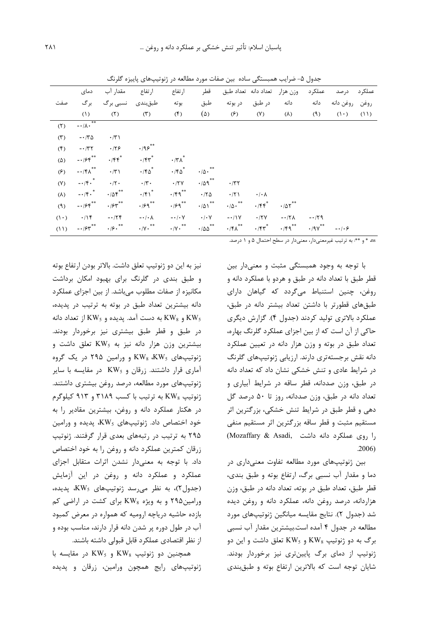|             | دمای                                | مقدار آب                   | ار تفاع                    | ارتفاع                    | قطر                      | وزن هزار تعداد دانه تعداد طبق |                      |                                           | عملكرد                   | در صد          | عملكر د |
|-------------|-------------------------------------|----------------------------|----------------------------|---------------------------|--------------------------|-------------------------------|----------------------|-------------------------------------------|--------------------------|----------------|---------|
| صفت         | بر گ                                | نسبی برگ                   | طبقبندى                    | بوته                      | طبق                      | در بوته                       | در طبق               | دانه                                      | دانه                     | روغن روغن دانه |         |
|             | (1)                                 | (5)                        | (5)                        | (1)                       | $(\Delta)$               | $(\hat{\mathsf{y}})$          | (V)                  | $(\lambda)$                               | (9)                      | $(1 \cdot)$    | (11)    |
| (7)         | **<br>$-\cdot/\lambda$ .            |                            |                            |                           |                          |                               |                      |                                           |                          |                |         |
| (1)         | $-170$                              | $\cdot$ /٣١                |                            |                           |                          |                               |                      |                                           |                          |                |         |
| (5)         | $-\cdot$ /٣٢                        | .179                       | $\cdot$ ۶ $\cdot$          |                           |                          |                               |                      |                                           |                          |                |         |
| $(\Delta)$  | $-188$                              | $\cdot$ /۴۴ $^*$           | $\cdot$ /۴۳ $^*$           | $\cdot$ /٣ $\Lambda^*$    |                          |                               |                      |                                           |                          |                |         |
| $(\hat{z})$ | $-15\lambda$                        | $\cdot$ /٣١                | $\cdot$ /۴۵ $^*$           | $\cdot$ /۴۵ <sup>*</sup>  | $**$<br>$\cdot/\Delta$ . |                               |                      |                                           |                          |                |         |
| (Y)         | $- \cdot / \mathfrak{f} \cdot$ $^*$ | $\cdot/\uparrow\cdot$      | $\cdot/\tau$ .             | $\cdot$ /٢٧               | $\cdot$ /09**            | $\cdot$ /٣٢                   |                      |                                           |                          |                |         |
| $(\lambda)$ | $-15.1$                             | $\cdot$ /0 $r^{**}$        | $\cdot$ /۴۱ <sup>*</sup>   | $\cdot$ /۴۹**             | $\cdot$ /۲۵              | $\cdot$ /٢١                   | $\cdot/\cdot \wedge$ |                                           |                          |                |         |
| (9)         | $-188$                              | $\cdot$ / $\varsigma$ r**  | $\cdot$ /۶۹ $^{**}$        | $\cdot$ /۶۹ $^{**}$       | $\cdot$ /01**            | $\cdot/\Delta \cdot$ **       | $\cdot$ /۴۴ $^*$     | $\cdot$ / $\Delta \Upsilon$ <sup>**</sup> |                          |                |         |
| $(1 \cdot)$ | .1                                  | $-175$                     | $-\cdot/\cdot \wedge$      | $-\cdot/\cdot V$          | $\cdot$ / $\cdot$ Y      | $-\cdot/(\sqrt{V})$           | .77V                 | $-\cdot/7\lambda$                         | $-179$                   |                |         |
| (11)        | $-184$                              | $\cdot$ /۶ $\cdot$ $^{**}$ | $\cdot$ /Y $\cdot$ $^{**}$ | $\cdot/\Upsilon \cdot$ ** | $\cdot$ /۵۵ $^{**}$      | $\cdot$ /۴ $\Lambda$ **       | $\cdot$ /۴۳ $^*$     | $\cdot$ /۴۹**                             | $\cdot$ /9 $\gamma^{**}$ | $-1.9$         |         |

حدول ۵- ضرایب همیستگی ساده ایین صفات مورد مطالعه در ژنوتیپهای باییزه گلرنگ

ns \* و \*\*: به ترتیب غیرمعنی دار، معنی دار در سطح احتمال ۵ و ۱ درصد.

با توجه به وجود همبستگی مثبت و معنیدار بین قطر طبق با تعداد دانه در طبق و هردو با عملکرد دانه و روغن، چنین استنباط میگردد که گیاهان دارای طبقهای قطورتر با داشتن تعداد بیشتر دانه در طبق، عملکرد بالاتری تولید کردند (جدول ۴). گزارش دیگری حاکی از آن است که از بین اجزای عملکرد گلرنگ بهاره، تعداد طبق در بوته و وزن هزار دانه در تعیین عملکرد دانه نقش برجستهتری دارند. ارزیابی ژنوتیپهای گلرنگ در شرایط عادی و تنش خشکی نشان داد که تعداد دانه در طبق، وزن صددانه، قطر ساقه در شرایط آبیاری و تعداد دانه در طبق، وزن صددانه، روز تا ۵۰ درصد گل دهی و قطر طبق در شرایط تنش خشکی، بزرگترین اثر مستقیم مثبت و قطر ساقه بزرگترین اثر مستقیم منفی را روی عملکرد دانه داشت .Mozaffary & Asadi  $.2006$ 

بین ژنوتیپهای مورد مطالعه تفاوت معنیداری در دما و مقدار آب نسبی برگ، ارتفاع بوته و طبق بندی، قطر طبق، تعداد طبق در بوته، تعداد دانه در طبق، وزن هزاردانه، درصد روغن دانه، عملکرد دانه و روغن دیده شد (جدول ٢). نتايج مقايسه ميانگين ژنوتيپهاي مورد مطالعه در جدول ۴ آمده است.بیشترین مقدار آب نسبی برگ به دو ژنوتیپ KWs و KWs تعلق داشت و این دو ژنوتیپ از دمای برگ پایینتری نیز برخوردار بودند. شایان توجه است که بالاترین ارتفاع بوته و طبق بندی

نیز به این دو ژنوتیپ تعلق داشت. بالاتر بودن ارتفاع بوته و طبق بندی در گلرنگ برای بهبود امکان برداشت مکانیزه از صفات مطلوب می باشد. از بین اجزای عملکرد دانه بیشترین تعداد طبق در بوته به ترتیب در پدیده، و KW<sub>s</sub> به دست آمد. يديده و KW<sub>5</sub> از تعداد دانه در طبق و قطر طبق بیشتری نیز برخوردار بودند. بیشترین وزن هزار دانه نیز به KW5 تعلق داشت و ژنوتیپهای KW<sub>8</sub> ،KW<sub>5</sub> و ورامین ۲۹۵ در یک گروه آماری قرار داشتند. زرقان و KW5 در مقایسه با سایر ژنوتیپهای مورد مطالعه، درصد روغن بیشتری داشتند. ژنوتیپ KW<sub>8</sub> به ترتیب با کسب ۳۱۸۹ و ۹۱۳ کیلوگرم در هکتار عملکرد دانه و روغن، بیشترین مقادیر را به خود اختصاص داد. ژنوتیپهای KW<sub>5</sub>، پدیده و ورامین ۲۹۵ به ترتیب در رتبههای بعدی قرار گرفتند. ژنوتیپ زرقان کمترین عملکرد دانه و روغن را به خود اختصاص داد. با توجه به معنیدار نشدن اثرات متقابل اجزای عملکرد و عملکرد دانه و روغن در این آزمایش (جدول۲)، به نظر می رسد ژنوتیپهای KW<sub>5</sub>، پدیده، ورامین۲۹۵ و به ویژه KW<sub>8</sub> برای کشت در اراضی کم بازده حاشیه دریاچه ارومیه که همواره در معرض کمبود آب در طول دوره پر شدن دانه قرار دارند، مناسب بوده و از نظر اقتصادی عملکرد قابل قبولی داشته باشند.

و KW<sub>5</sub> و KW<sub>8</sub> و KW<sub>8</sub> و KW<sub>5</sub> و KW<sub>5</sub> در مقايسه با ژنوتیپهای رایج همچون ورامین، زرقان و پدیده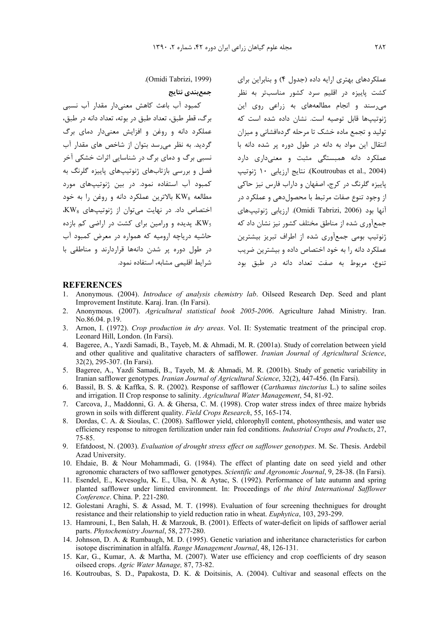.(Omidi Tabrizi, 1999).

جمع بندي نتايج

كمبود آب باعث كاهش معنىدار مقدار آب نسبى برگ، قطر طبق، تعداد طبق در بوته، تعداد دانه در طبق، عملکرد دانه و روغن و افزایش معنیدار دمای برگ گردید. به نظر می سد بتوان از شاخص های مقدار آب نسبی برگ و دمای برگ در شناسایی اثرات خشکی آخر فصل و بررسی بازتابهای ژنوتیپهای پاییزه گلرنگ به كمبود آب استفاده نمود. در بين ژنوتيپهاى مورد مطالعه KW<sub>8</sub> بالاترین عملکرد دانه و روغن را به خود اختصاص داد. در نهایت می توان از ژنوتیپهای KWs، یدیده و ورامین برای کشت در اراضی کم بازده KW5 حاشیه دریاچه ارومیه که همواره در معرض کمبود آب در طول دوره پر شدن دانهها قراردارند و مناطقی با شرايط اقليمي مشايه، استفاده نمود.

عملکردهای بهتری ارایه داده (جدول ۴) و بنابراین برای کشت پاییزه در اقلیم سرد کشور مناسبتر به نظر می رسند و انجام مطالعههای به زراعی روی این ژنوتیپها قابل توصیه است. نشان داده شده است که تولید و تجمع ماده خشک تا مرحله گردهافشانی و میزان انتقال این مواد به دانه در طول دوره پر شده دانه با عملکرد دانه همبستگی مثبت و معنیداری دارد (Koutroubas et al., 2004). نتايج ارزيابي ١٠ ژنوتيپ پاییزه گلرنگ در کرج، اصفهان و داراب فارس نیز حاکی از وجود تنوع صفات مرتبط با محصول دهی و عملکرد در آنها بود (Omidi Tabrizi, 2006). ارزيابي ژنوتيپهاي جمعآوری شده از مناطق مختلف کشور نیز نشان داد که ژنوتیپ بومی جمعآوری شده از اطراف تبریز بیشترین عملکرد دانه ,ا به خود اختصاص داده و بیشترین ضریب تنوع، مربوط به صفت تعداد دانه در طبق بود

#### **REFERENCES**

- 1. Anonymous. (2004). Introduce of analysis chemistry lab. Oilseed Research Dep. Seed and plant Improvement Institute. Karaj. Iran. (In Farsi).
- 2. Anonymous. (2007). Agricultural statistical book 2005-2006. Agriculture Jahad Ministry. Iran. No.86.04. p.19.
- 3. Arnon, I. (1972). Crop production in dry areas. Vol. II: Systematic treatment of the principal crop. Leonard Hill, London. (In Farsi).
- 4. Bageree, A., Yazdi Samadi, B., Tayeb, M. & Ahmadi, M. R. (2001a). Study of correlation between yield and other qualitive and qualitative characters of safflower. Iranian Journal of Agricultural Science, 32(2), 295-307. (In Farsi).
- 5. Bageree, A., Yazdi Samadi, B., Tayeb, M. & Ahmadi, M. R. (2001b). Study of genetic variability in Iranian safflower genotypes. Iranian Journal of Agricultural Science, 32(2), 447-456. (In Farsi).
- 6. Bassil, B. S. & Kaffka, S. R. (2002). Response of safflower (Carthamus tinctorius L.) to saline soiles and irrigation. II Crop response to salinity. Agricultural Water Management, 54, 81-92.
- 7. Carcova, J., Maddonni, G. A. & Ghersa, C. M. (1998). Crop water stress index of three maize hybrids grown in soils with different quality. Field Crops Research, 55, 165-174.
- 8. Dordas, C. A. & Sioulas, C. (2008). Safflower yield, chlorophyll content, photosynthesis, and water use efficiency response to nitrogen fertilization under rain fed conditions. Industrial Crops and Products, 27, 75-85.
- 9. Efatdoost, N. (2003). Evaluation of drought stress effect on safflower genotypes. M. Sc. Thesis. Ardebil Azad University.
- 10. Ehdaie, B. & Nour Mohammadi, G. (1984). The effect of planting date on seed yield and other agronomic characters of two safflower genotypes. Scientific and Agronomic Journal, 9, 28-38. (In Farsi).
- 11. Esendel, E., Kevesoglu, K. E., Ulsa, N. & Aytac, S. (1992). Performance of late autumn and spring planted safflower under limited environment. In: Proceedings of the third International Safflower Conference. China. P. 221-280.
- 12. Golestani Araghi, S. & Assad, M. T. (1998). Evaluation of four screening thechnigues for drought resistance and their relationship to yield reduction ratio in wheat. *Euphytica*, 103, 293-299.
- 13. Hamrouni, I., Ben Salah, H. & Marzouk, B. (2001). Effects of water-deficit on lipids of safflower aerial parts. Phytochemistry Journal, 58, 277-280.
- 14. Johnson, D. A. & Rumbaugh, M. D. (1995). Genetic variation and inheritance characteristics for carbon isotope discrimination in alfalfa. Range Management Journal, 48, 126-131.
- 15. Kar, G., Kumar, A. & Martha, M. (2007). Water use efficiency and crop coefficients of dry season oilseed crops. Agric Water Manage, 87, 73-82.
- 16. Koutroubas, S. D., Papakosta, D. K. & Doitsinis, A. (2004). Cultivar and seasonal effects on the